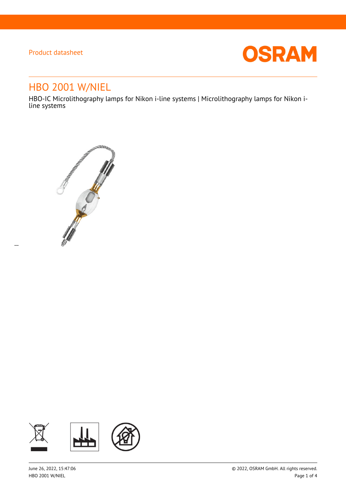$\overline{a}$ 



# HBO 2001 W/NIEL

HBO-IC Microlithography lamps for Nikon i-line systems | Microlithography lamps for Nikon iline systems



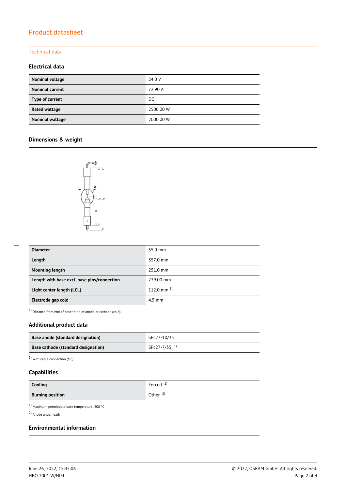#### Technical data

### **Electrical data**

| Nominal voltage        | 24.0 V    |
|------------------------|-----------|
| <b>Nominal current</b> | 72.90 A   |
| Type of current        | DC.       |
| Rated wattage          | 2500.00 W |
| Nominal wattage        | 2000.00 W |

### **Dimensions & weight**



| <b>Diameter</b>                             | 55.0 mm         |
|---------------------------------------------|-----------------|
| Length                                      | 357.0 mm        |
| <b>Mounting length</b>                      | 251.0 mm        |
| Length with base excl. base pins/connection | 229.00 mm       |
| Light center length (LCL)                   | 112.0 mm $^{1}$ |
| Electrode gap cold                          | $4.5$ mm        |

1) Distance from end of base to tip of anode or cathode (cold)

### **Additional product data**

| Base anode (standard designation)          | SFc27-10/35              |
|--------------------------------------------|--------------------------|
| <b>Base cathode (standard designation)</b> | SFc27-7/35 <sup>1)</sup> |

1) With cable connection (M8)

### **Capabilities**

| Cooling                 | Forced $1$          |
|-------------------------|---------------------|
| <b>Burning position</b> | Other $\frac{2}{3}$ |

1) Maximum permissible base temperature: 200 °C

2) Anode underneath

### **Environmental information**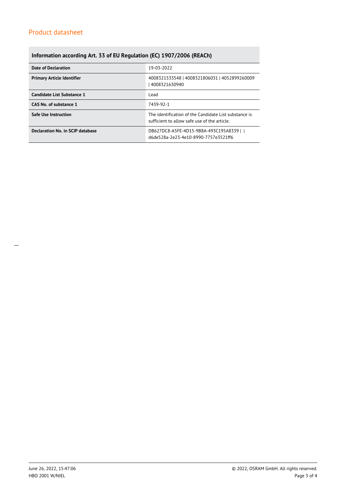### **Information according Art. 33 of EU Regulation (EC) 1907/2006 (REACh)**

| Date of Declaration               | 19-03-2022                                                                                            |  |  |
|-----------------------------------|-------------------------------------------------------------------------------------------------------|--|--|
| <b>Primary Article Identifier</b> | 4008321533548   4008321806031   4052899260009<br>4008321630940                                        |  |  |
| Candidate List Substance 1        | Lead                                                                                                  |  |  |
| CAS No. of substance 1            | 7439-92-1                                                                                             |  |  |
| <b>Safe Use Instruction</b>       | The identification of the Candidate List substance is<br>sufficient to allow safe use of the article. |  |  |
| Declaration No. in SCIP database  | DB627DC8-A5FE-4D15-9B8A-493C195A8339    <br>d6de528a-2e23-4e10-8990-7757e3521ff6                      |  |  |